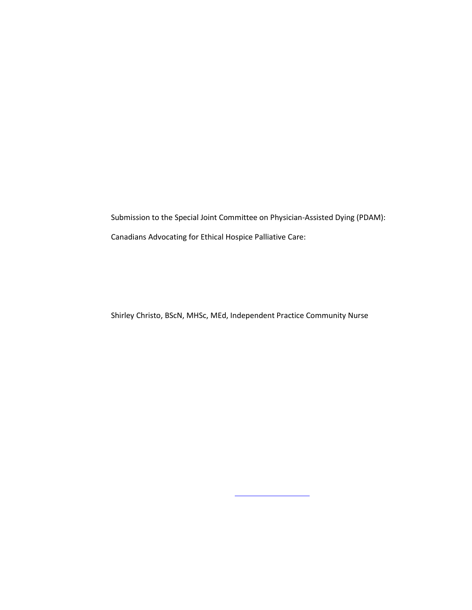Submission to the Special Joint Committee on Physician-Assisted Dying (PDAM): Canadians Advocating for Ethical Hospice Palliative Care:

Shirley Christo, BScN, MHSc, MEd, Independent Practice Community Nurse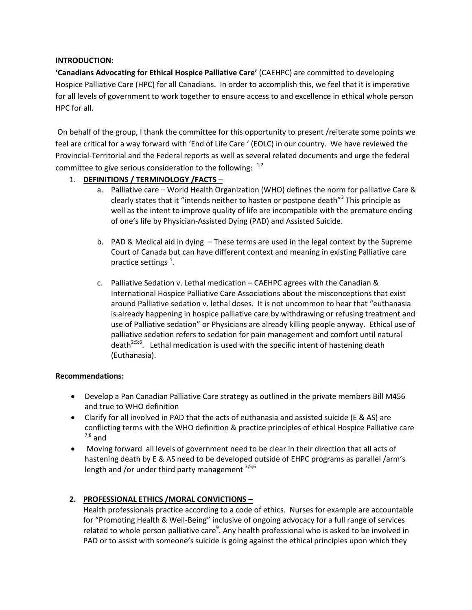# **INTRODUCTION:**

**'Canadians Advocating for Ethical Hospice Palliative Care'** (CAEHPC) are committed to developing Hospice Palliative Care (HPC) for all Canadians. In order to accomplish this, we feel that it is imperative for all levels of government to work together to ensure access to and excellence in ethical whole person HPC for all.

 On behalf of the group, I thank the committee for this opportunity to present /reiterate some points we feel are critical for a way forward with 'End of Life Care ' (EOLC) in our country. We have reviewed the Provincial-Territorial and the Federal reports as well as several related documents and urge the federal committee to give serious consideration to the following:  $1/2$ 

# 1. **DEFINITIONS / TERMINOLOGY /FACTS** –

- a. Palliative care World Health Organization (WHO) defines the norm for palliative Care & clearly states that it "intends neither to hasten or postpone death"<sup>3</sup> This principle as well as the intent to improve quality of life are incompatible with the premature ending of one's life by Physician-Assisted Dying (PAD) and Assisted Suicide.
- b. PAD & Medical aid in dying These terms are used in the legal context by the Supreme Court of Canada but can have different context and meaning in existing Palliative care practice settings<sup>4</sup>.
- c. Palliative Sedation v. Lethal medication CAEHPC agrees with the Canadian & International Hospice Palliative Care Associations about the misconceptions that exist around Palliative sedation v. lethal doses. It is not uncommon to hear that "euthanasia is already happening in hospice palliative care by withdrawing or refusing treatment and use of Palliative sedation" or Physicians are already killing people anyway. Ethical use of palliative sedation refers to sedation for pain management and comfort until natural death<sup>2;5;6</sup>. Lethal medication is used with the specific intent of hastening death (Euthanasia).

## **Recommendations:**

- Develop a Pan Canadian Palliative Care strategy as outlined in the private members Bill M456 and true to WHO definition
- Clarify for all involved in PAD that the acts of euthanasia and assisted suicide (E & AS) are conflicting terms with the WHO definition & practice principles of ethical Hospice Palliative care  $7;8$  and
- Moving forward all levels of government need to be clear in their direction that all acts of hastening death by E & AS need to be developed outside of EHPC programs as parallel /arm's length and /or under third party management  $3,5,6$

# **2. PROFESSIONAL ETHICS /MORAL CONVICTIONS –**

Health professionals practice according to a code of ethics. Nurses for example are accountable for "Promoting Health & Well-Being" inclusive of ongoing advocacy for a full range of services related to whole person palliative care<sup>9</sup>. Any health professional who is asked to be involved in PAD or to assist with someone's suicide is going against the ethical principles upon which they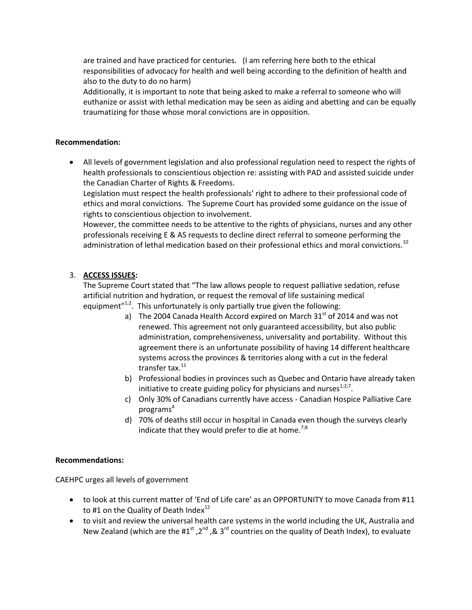are trained and have practiced for centuries. (I am referring here both to the ethical responsibilities of advocacy for health and well being according to the definition of health and also to the duty to do no harm)

Additionally, it is important to note that being asked to make a referral to someone who will euthanize or assist with lethal medication may be seen as aiding and abetting and can be equally traumatizing for those whose moral convictions are in opposition.

### **Recommendation:**

 All levels of government legislation and also professional regulation need to respect the rights of health professionals to conscientious objection re: assisting with PAD and assisted suicide under the Canadian Charter of Rights & Freedoms.

Legislation must respect the health professionals' right to adhere to their professional code of ethics and moral convictions. The Supreme Court has provided some guidance on the issue of rights to conscientious objection to involvement.

However, the committee needs to be attentive to the rights of physicians, nurses and any other professionals receiving E & AS requests to decline direct referral to someone performing the administration of lethal medication based on their professional ethics and moral convictions.<sup>10</sup>

## 3. **ACCESS ISSUES:**

The Supreme Court stated that "The law allows people to request palliative sedation, refuse artificial nutrition and hydration, or request the removal of life sustaining medical equipment" $1/2$ . This unfortunately is only partially true given the following:

- a) The 2004 Canada Health Accord expired on March  $31<sup>st</sup>$  of 2014 and was not renewed. This agreement not only guaranteed accessibility, but also public administration, comprehensiveness, universality and portability. Without this agreement there is an unfortunate possibility of having 14 different healthcare systems across the provinces & territories along with a cut in the federal transfer tax. $^{11}$
- b) Professional bodies in provinces such as Quebec and Ontario have already taken initiative to create guiding policy for physicians and nurses $^{1,2,7}$ .
- c) Only 30% of Canadians currently have access Canadian Hospice Palliative Care programs $4$
- d) 70% of deaths still occur in hospital in Canada even though the surveys clearly indicate that they would prefer to die at home.<sup>7;8</sup>

#### **Recommendations:**

CAEHPC urges all levels of government

- to look at this current matter of 'End of Life care' as an OPPORTUNITY to move Canada from #11 to #1 on the Quality of Death Index $^{12}$
- to visit and review the universal health care systems in the world including the UK, Australia and New Zealand (which are the  $\#1^{st}$ ,  $2^{nd}$ , &  $3^{rd}$  countries on the quality of Death Index), to evaluate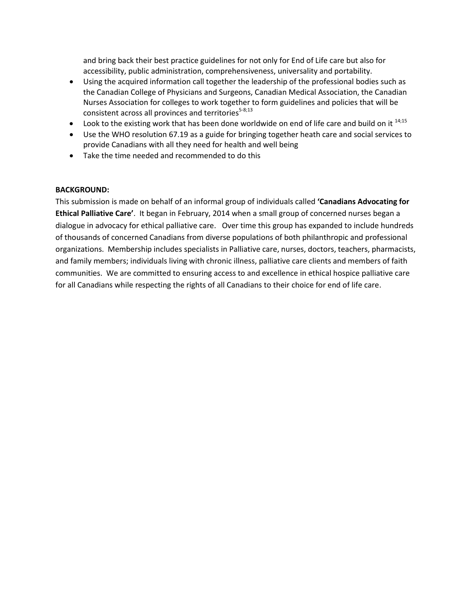and bring back their best practice guidelines for not only for End of Life care but also for accessibility, public administration, comprehensiveness, universality and portability.

- Using the acquired information call together the leadership of the professional bodies such as the Canadian College of Physicians and Surgeons, Canadian Medical Association, the Canadian Nurses Association for colleges to work together to form guidelines and policies that will be consistent across all provinces and territories<sup>5-8;13</sup>
- $\bullet$  Look to the existing work that has been done worldwide on end of life care and build on it  $14,15$
- Use the WHO resolution 67.19 as a guide for bringing together heath care and social services to provide Canadians with all they need for health and well being
- Take the time needed and recommended to do this

## **BACKGROUND:**

This submission is made on behalf of an informal group of individuals called **'Canadians Advocating for Ethical Palliative Care'**. It began in February, 2014 when a small group of concerned nurses began a dialogue in advocacy for ethical palliative care. Over time this group has expanded to include hundreds of thousands of concerned Canadians from diverse populations of both philanthropic and professional organizations. Membership includes specialists in Palliative care, nurses, doctors, teachers, pharmacists, and family members; individuals living with chronic illness, palliative care clients and members of faith communities. We are committed to ensuring access to and excellence in ethical hospice palliative care for all Canadians while respecting the rights of all Canadians to their choice for end of life care.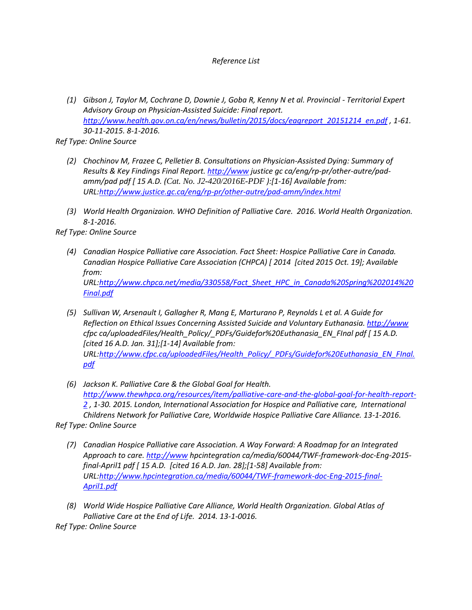# *Reference List*

 *(1) Gibson J, Taylor M, Cochrane D, Downie J, Goba R, Kenny N et al. Provincial - Territorial Expert Advisory Group on Physician-Assisted Suicide: Final report. [http://www.health.gov.on.ca/en/news/bulletin/2015/docs/eagreport\\_20151214\\_en.pdf](http://www.health.gov.on.ca/en/news/bulletin/2015/docs/eagreport_20151214_en.pdf) , 1-61. 30-11-2015. 8-1-2016.* 

*Ref Type: Online Source* 

- *(2) Chochinov M, Frazee C, Pelletier B. Consultations on Physician-Assisted Dying: Summary of Results & Key Findings Final Report. [http://www](http://www/) justice gc ca/eng/rp-pr/other-autre/padamm/pad pdf [ 15 A.D. (Cat. No. J2-420/2016E-PDF ):[1-16] Available from: URL[:http://www.justice.gc.ca/eng/rp-pr/other-autre/pad-amm/index.html](http://www.justice.gc.ca/eng/rp-pr/other-autre/pad-amm/index.html)*
- *(3) World Health Organizaion. WHO Definition of Palliative Care. 2016. World Health Organization. 8-1-2016.*

*Ref Type: Online Source* 

- *(4) Canadian Hospice Palliative care Association. Fact Sheet: Hospice Palliative Care in Canada. Canadian Hospice Palliative Care Association (CHPCA) [ 2014 [cited 2015 Oct. 19]; Available from: URL[:http://www.chpca.net/media/330558/Fact\\_Sheet\\_HPC\\_in\\_Canada%20Spring%202014%20](http://www.chpca.net/media/330558/Fact_Sheet_HPC_in_Canada%20Spring%202014%20Final.pdf) [Final.pdf](http://www.chpca.net/media/330558/Fact_Sheet_HPC_in_Canada%20Spring%202014%20Final.pdf)*
- *(5) Sullivan W, Arsenault I, Gallagher R, Mang E, Marturano P, Reynolds L et al. A Guide for Reflection on Ethical Issues Concerning Assisted Suicide and Voluntary Euthanasia. [http://www](http://www/) cfpc ca/uploadedFiles/Health\_Policy/\_PDFs/Guidefor%20Euthanasia\_EN\_FInal pdf [ 15 A.D. [cited 16 A.D. Jan. 31];[1-14] Available from: URL[:http://www.cfpc.ca/uploadedFiles/Health\\_Policy/\\_PDFs/Guidefor%20Euthanasia\\_EN\\_FInal.](http://www.cfpc.ca/uploadedFiles/Health_Policy/_PDFs/Guidefor%20Euthanasia_EN_FInal.pdf) [pdf](http://www.cfpc.ca/uploadedFiles/Health_Policy/_PDFs/Guidefor%20Euthanasia_EN_FInal.pdf)*
- *(6) Jackson K. Palliative Care & the Global Goal for Health. [http://www.thewhpca.org/resources/item/palliative-care-and-the-global-goal-for-health-report-](http://www.thewhpca.org/resources/item/palliative-care-and-the-global-goal-for-health-report-2)[2](http://www.thewhpca.org/resources/item/palliative-care-and-the-global-goal-for-health-report-2) , 1-30. 2015. London, International Association for Hospice and Palliative care, International Childrens Network for Palliative Care, Worldwide Hospice Palliative Care Alliance. 13-1-2016.*

*Ref Type: Online Source* 

- *(7) Canadian Hospice Palliative care Association. A Way Forward: A Roadmap for an Integrated Approach to care. [http://www](http://www/) hpcintegration ca/media/60044/TWF-framework-doc-Eng-2015 final-April1 pdf [ 15 A.D. [cited 16 A.D. Jan. 28];[1-58] Available from: URL[:http://www.hpcintegration.ca/media/60044/TWF-framework-doc-Eng-2015-final-](http://www.hpcintegration.ca/media/60044/TWF-framework-doc-Eng-2015-final-April1.pdf)[April1.pdf](http://www.hpcintegration.ca/media/60044/TWF-framework-doc-Eng-2015-final-April1.pdf)*
- *(8) World Wide Hospice Palliative Care Alliance, World Health Organization. Global Atlas of Palliative Care at the End of Life. 2014. 13-1-0016. Ref Type: Online Source*